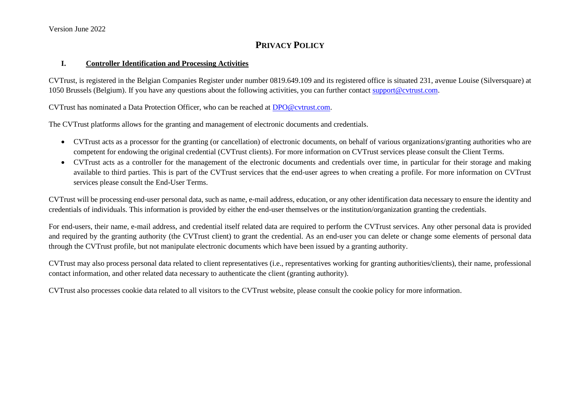# **PRIVACY POLICY**

#### **I. Controller Identification and Processing Activities**

CVTrust, is registered in the Belgian Companies Register under number 0819.649.109 and its registered office is situated 231, avenue Louise (Silversquare) at 1050 Brussels (Belgium). If you have any questions about the following activities, you can further contact [support@cvtrust.com.](mailto:support@cvtrust.com)

CVTrust has nominated a Data Protection Officer, who can be reached at [DPO@cvtrust.com.](mailto:DPO@cvtrust.com)

The CVTrust platforms allows for the granting and management of electronic documents and credentials.

- CVTrust acts as a processor for the granting (or cancellation) of electronic documents, on behalf of various organizations/granting authorities who are competent for endowing the original credential (CVTrust clients). For more information on CVTrust services please consult the Client Terms.
- CVTrust acts as a controller for the management of the electronic documents and credentials over time, in particular for their storage and making available to third parties. This is part of the CVTrust services that the end-user agrees to when creating a profile. For more information on CVTrust services please consult the End-User Terms.

CVTrust will be processing end-user personal data, such as name, e-mail address, education, or any other identification data necessary to ensure the identity and credentials of individuals. This information is provided by either the end-user themselves or the institution/organization granting the credentials.

For end-users, their name, e-mail address, and credential itself related data are required to perform the CVTrust services. Any other personal data is provided and required by the granting authority (the CVTrust client) to grant the credential. As an end-user you can delete or change some elements of personal data through the CVTrust profile, but not manipulate electronic documents which have been issued by a granting authority.

CVTrust may also process personal data related to client representatives (i.e., representatives working for granting authorities/clients), their name, professional contact information, and other related data necessary to authenticate the client (granting authority).

CVTrust also processes cookie data related to all visitors to the CVTrust website, please consult the cookie policy for more information.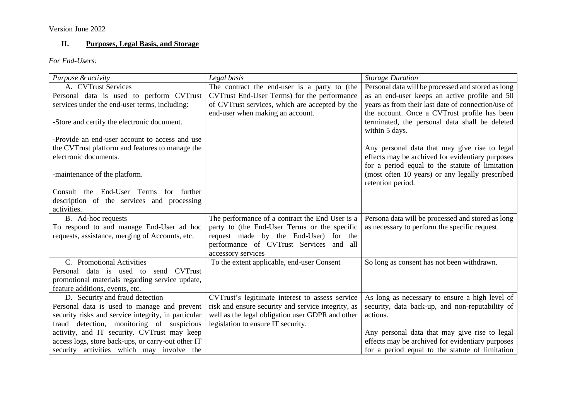## **II. Purposes, Legal Basis, and Storage**

*For End-Users:*

| Purpose & activity                                  | Legal basis                                                                      | <b>Storage Duration</b>                            |
|-----------------------------------------------------|----------------------------------------------------------------------------------|----------------------------------------------------|
| A. CVTrust Services                                 | The contract the end-user is a party to (the                                     | Personal data will be processed and stored as long |
| Personal data is used to perform CVTrust            | CVTrust End-User Terms) for the performance                                      | as an end-user keeps an active profile and 50      |
| services under the end-user terms, including:       | of CVTrust services, which are accepted by the                                   | years as from their last date of connection/use of |
|                                                     | end-user when making an account.                                                 | the account. Once a CVTrust profile has been       |
| -Store and certify the electronic document.         |                                                                                  | terminated, the personal data shall be deleted     |
|                                                     |                                                                                  | within 5 days.                                     |
| -Provide an end-user account to access and use      |                                                                                  |                                                    |
| the CVTrust platform and features to manage the     |                                                                                  | Any personal data that may give rise to legal      |
| electronic documents.                               |                                                                                  | effects may be archived for evidentiary purposes   |
|                                                     |                                                                                  | for a period equal to the statute of limitation    |
| -maintenance of the platform.                       |                                                                                  | (most often 10 years) or any legally prescribed    |
|                                                     |                                                                                  | retention period.                                  |
| Consult the End-User Terms for further              |                                                                                  |                                                    |
| description of the services and processing          |                                                                                  |                                                    |
| activities.                                         |                                                                                  |                                                    |
| B. Ad-hoc requests                                  | The performance of a contract the End User is a                                  | Persona data will be processed and stored as long  |
| To respond to and manage End-User ad hoc            | party to (the End-User Terms or the specific                                     | as necessary to perform the specific request.      |
| requests, assistance, merging of Accounts, etc.     | request made by the End-User) for the<br>performance of CVTrust Services and all |                                                    |
|                                                     | accessory services                                                               |                                                    |
| C. Promotional Activities                           | To the extent applicable, end-user Consent                                       | So long as consent has not been withdrawn.         |
| Personal data is used to send CVTrust               |                                                                                  |                                                    |
| promotional materials regarding service update,     |                                                                                  |                                                    |
| feature additions, events, etc.                     |                                                                                  |                                                    |
| D. Security and fraud detection                     | CVTrust's legitimate interest to assess service                                  | As long as necessary to ensure a high level of     |
| Personal data is used to manage and prevent         | risk and ensure security and service integrity, as                               | security, data back-up, and non-reputability of    |
| security risks and service integrity, in particular | well as the legal obligation user GDPR and other                                 | actions.                                           |
| fraud detection, monitoring of suspicious           | legislation to ensure IT security.                                               |                                                    |
| activity, and IT security. CVTrust may keep         |                                                                                  | Any personal data that may give rise to legal      |
| access logs, store back-ups, or carry-out other IT  |                                                                                  | effects may be archived for evidentiary purposes   |
| security activities which may involve the           |                                                                                  | for a period equal to the statute of limitation    |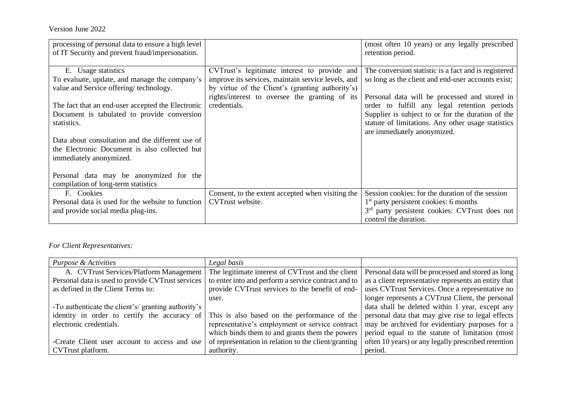Version June 2022

| processing of personal data to ensure a high level                                                |                                                    | (most often 10 years) or any legally prescribed            |
|---------------------------------------------------------------------------------------------------|----------------------------------------------------|------------------------------------------------------------|
| of IT Security and prevent fraud/impersonation.                                                   |                                                    | retention period.                                          |
|                                                                                                   |                                                    |                                                            |
| E. Usage statistics                                                                               | CVTrust's legitimate interest to provide and       | The conversion statistic is a fact and is registered       |
| To evaluate, update, and manage the company's                                                     | improve its services, maintain service levels, and | so long as the client and end-user accounts exist;         |
| value and Service offering/technology.                                                            | by virtue of the Client's (granting authority's)   |                                                            |
|                                                                                                   | rights/interest to oversee the granting of its     | Personal data will be processed and stored in              |
| The fact that an end-user accepted the Electronic                                                 | credentials.                                       | order to fulfill any legal retention periods               |
| Document is tabulated to provide conversion                                                       |                                                    | Supplier is subject to or for the duration of the          |
| statistics.                                                                                       |                                                    | statute of limitations. Any other usage statistics         |
|                                                                                                   |                                                    | are immediately anonymized.                                |
| Data about consultation and the different use of<br>the Electronic Document is also collected but |                                                    |                                                            |
| immediately anonymized.                                                                           |                                                    |                                                            |
|                                                                                                   |                                                    |                                                            |
| Personal data may be anonymized for the                                                           |                                                    |                                                            |
| compilation of long-term statistics                                                               |                                                    |                                                            |
| F. Cookies                                                                                        | Consent, to the extent accepted when visiting the  | Session cookies: for the duration of the session           |
| Personal data is used for the website to function                                                 | CVTrust website.                                   | $1st$ party persistent cookies: 6 months                   |
| and provide social media plug-ins.                                                                |                                                    | 3 <sup>rd</sup> party persistent cookies: CVTrust does not |
|                                                                                                   |                                                    | control the duration.                                      |

*For Client Representatives:*

| Purpose & Activities                                | Legal basis                                          |                                                      |
|-----------------------------------------------------|------------------------------------------------------|------------------------------------------------------|
| A. CVTrust Services/Platform Management             | The legitimate interest of CVTrust and the client    | Personal data will be processed and stored as long   |
| Personal data is used to provide CVTrust services   | to enter into and perform a service contract and to  | as a client representative represents an entity that |
| as defined in the Client Terms to:                  | provide CVTrust services to the benefit of end-      | uses CVTrust Services. Once a representative no      |
|                                                     | user.                                                | longer represents a CVTrust Client, the personal     |
| -To authenticate the client's/ granting authority's |                                                      | data shall be deleted within 1 year, except any      |
| identity in order to certify the accuracy of        | This is also based on the performance of the         | personal data that may give rise to legal effects    |
| electronic credentials.                             | representative's employment or service contract      | may be archived for evidentiary purposes for a       |
|                                                     | which binds them to and grants them the powers       | period equal to the statute of limitation (most      |
| -Create Client user account to access and use       | of representation in relation to the client/granting | often 10 years) or any legally prescribed retention  |
| CVTrust platform.                                   | authority.                                           | period.                                              |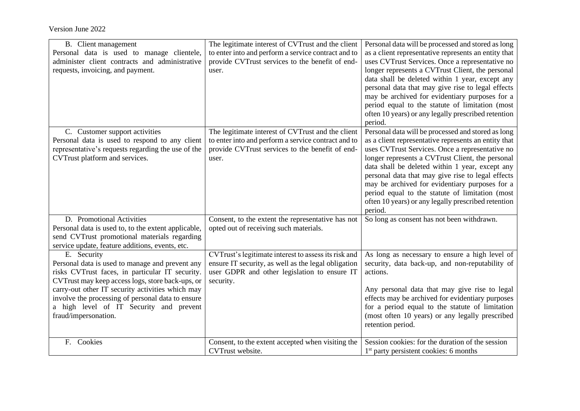| B. Client management<br>Personal data is used to manage clientele,<br>administer client contracts and administrative<br>requests, invoicing, and payment.                                                                                                                                                                                         | The legitimate interest of CVTrust and the client<br>to enter into and perform a service contract and to<br>provide CVTrust services to the benefit of end-<br>user.     | Personal data will be processed and stored as long<br>as a client representative represents an entity that<br>uses CVTrust Services. Once a representative no<br>longer represents a CVTrust Client, the personal<br>data shall be deleted within 1 year, except any<br>personal data that may give rise to legal effects<br>may be archived for evidentiary purposes for a<br>period equal to the statute of limitation (most<br>often 10 years) or any legally prescribed retention<br>period. |
|---------------------------------------------------------------------------------------------------------------------------------------------------------------------------------------------------------------------------------------------------------------------------------------------------------------------------------------------------|--------------------------------------------------------------------------------------------------------------------------------------------------------------------------|--------------------------------------------------------------------------------------------------------------------------------------------------------------------------------------------------------------------------------------------------------------------------------------------------------------------------------------------------------------------------------------------------------------------------------------------------------------------------------------------------|
| C. Customer support activities<br>Personal data is used to respond to any client<br>representative's requests regarding the use of the<br>CVTrust platform and services.                                                                                                                                                                          | The legitimate interest of CVTrust and the client<br>to enter into and perform a service contract and to<br>provide CVTrust services to the benefit of end-<br>user.     | Personal data will be processed and stored as long<br>as a client representative represents an entity that<br>uses CVTrust Services. Once a representative no<br>longer represents a CVTrust Client, the personal<br>data shall be deleted within 1 year, except any<br>personal data that may give rise to legal effects<br>may be archived for evidentiary purposes for a<br>period equal to the statute of limitation (most<br>often 10 years) or any legally prescribed retention<br>period. |
| D. Promotional Activities<br>Personal data is used to, to the extent applicable,<br>send CVTrust promotional materials regarding<br>service update, feature additions, events, etc.                                                                                                                                                               | Consent, to the extent the representative has not<br>opted out of receiving such materials.                                                                              | So long as consent has not been withdrawn.                                                                                                                                                                                                                                                                                                                                                                                                                                                       |
| E. Security<br>Personal data is used to manage and prevent any<br>risks CVTrust faces, in particular IT security.<br>CVTrust may keep access logs, store back-ups, or<br>carry-out other IT security activities which may<br>involve the processing of personal data to ensure<br>a high level of IT Security and prevent<br>fraud/impersonation. | CVTrust's legitimate interest to assess its risk and<br>ensure IT security, as well as the legal obligation<br>user GDPR and other legislation to ensure IT<br>security. | As long as necessary to ensure a high level of<br>security, data back-up, and non-reputability of<br>actions.<br>Any personal data that may give rise to legal<br>effects may be archived for evidentiary purposes<br>for a period equal to the statute of limitation<br>(most often 10 years) or any legally prescribed<br>retention period.                                                                                                                                                    |
| F. Cookies                                                                                                                                                                                                                                                                                                                                        | Consent, to the extent accepted when visiting the<br>CVTrust website.                                                                                                    | Session cookies: for the duration of the session<br>$1st$ party persistent cookies: 6 months                                                                                                                                                                                                                                                                                                                                                                                                     |